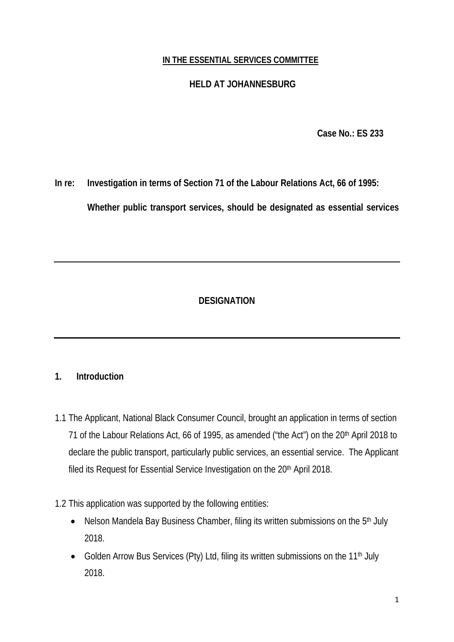## **IN THE ESSENTIAL SERVICES COMMITTEE**

# **HELD AT JOHANNESBURG**

**Case No.: ES 233**

**In re: Investigation in terms of Section 71 of the Labour Relations Act, 66 of 1995:** 

**Whether public transport services, should be designated as essential services** 

# **DESIGNATION**

# **1. Introduction**

- 1.1 The Applicant, National Black Consumer Council, brought an application in terms of section 71 of the Labour Relations Act, 66 of 1995, as amended ("the Act") on the 20<sup>th</sup> April 2018 to declare the public transport, particularly public services, an essential service. The Applicant filed its Request for Essential Service Investigation on the 20<sup>th</sup> April 2018.
- 1.2 This application was supported by the following entities:
	- Nelson Mandela Bay Business Chamber, filing its written submissions on the 5<sup>th</sup> July 2018.
	- Golden Arrow Bus Services (Pty) Ltd, filing its written submissions on the 11<sup>th</sup> July 2018.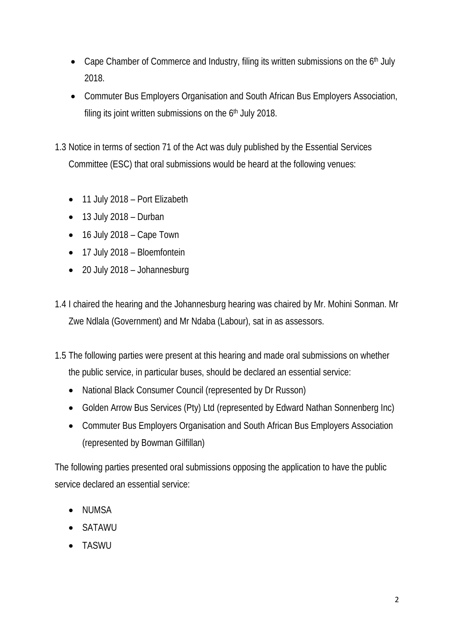- Cape Chamber of Commerce and Industry, filing its written submissions on the 6<sup>th</sup> July 2018.
- Commuter Bus Employers Organisation and South African Bus Employers Association, filing its joint written submissions on the 6<sup>th</sup> July 2018.
- 1.3 Notice in terms of section 71 of the Act was duly published by the Essential Services Committee (ESC) that oral submissions would be heard at the following venues:
	- 11 July 2018 Port Elizabeth
	- $\bullet$  13 July 2018 Durban
	- 16 July 2018 Cape Town
	- 17 July 2018 Bloemfontein
	- 20 July 2018 Johannesburg
- 1.4 I chaired the hearing and the Johannesburg hearing was chaired by Mr. Mohini Sonman. Mr Zwe Ndlala (Government) and Mr Ndaba (Labour), sat in as assessors.
- 1.5 The following parties were present at this hearing and made oral submissions on whether the public service, in particular buses, should be declared an essential service:
	- National Black Consumer Council (represented by Dr Russon)
	- Golden Arrow Bus Services (Pty) Ltd (represented by Edward Nathan Sonnenberg Inc)
	- Commuter Bus Employers Organisation and South African Bus Employers Association (represented by Bowman Gilfillan)

The following parties presented oral submissions opposing the application to have the public service declared an essential service:

- NUMSA
- SATAWU
- TASWU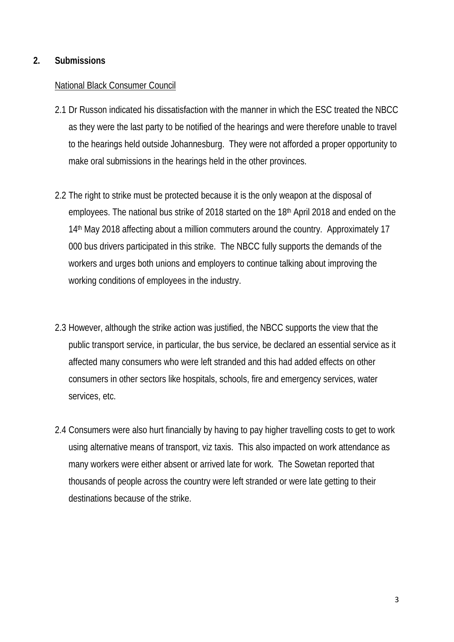## **2. Submissions**

#### National Black Consumer Council

- 2.1 Dr Russon indicated his dissatisfaction with the manner in which the ESC treated the NBCC as they were the last party to be notified of the hearings and were therefore unable to travel to the hearings held outside Johannesburg. They were not afforded a proper opportunity to make oral submissions in the hearings held in the other provinces.
- 2.2 The right to strike must be protected because it is the only weapon at the disposal of employees. The national bus strike of 2018 started on the 18th April 2018 and ended on the 14<sup>th</sup> May 2018 affecting about a million commuters around the country. Approximately 17 000 bus drivers participated in this strike. The NBCC fully supports the demands of the workers and urges both unions and employers to continue talking about improving the working conditions of employees in the industry.
- 2.3 However, although the strike action was justified, the NBCC supports the view that the public transport service, in particular, the bus service, be declared an essential service as it affected many consumers who were left stranded and this had added effects on other consumers in other sectors like hospitals, schools, fire and emergency services, water services, etc.
- 2.4 Consumers were also hurt financially by having to pay higher travelling costs to get to work using alternative means of transport, viz taxis. This also impacted on work attendance as many workers were either absent or arrived late for work. The Sowetan reported that thousands of people across the country were left stranded or were late getting to their destinations because of the strike.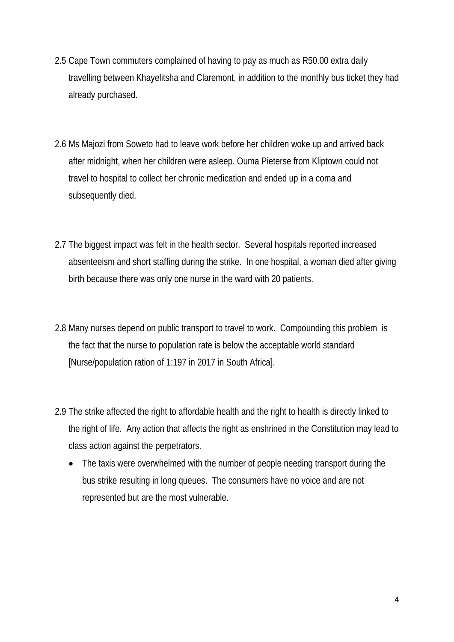- 2.5 Cape Town commuters complained of having to pay as much as R50.00 extra daily travelling between Khayelitsha and Claremont, in addition to the monthly bus ticket they had already purchased.
- 2.6 Ms Majozi from Soweto had to leave work before her children woke up and arrived back after midnight, when her children were asleep. Ouma Pieterse from Kliptown could not travel to hospital to collect her chronic medication and ended up in a coma and subsequently died.
- 2.7 The biggest impact was felt in the health sector. Several hospitals reported increased absenteeism and short staffing during the strike. In one hospital, a woman died after giving birth because there was only one nurse in the ward with 20 patients.
- 2.8 Many nurses depend on public transport to travel to work. Compounding this problem is the fact that the nurse to population rate is below the acceptable world standard [Nurse/population ration of 1:197 in 2017 in South Africa].
- 2.9 The strike affected the right to affordable health and the right to health is directly linked to the right of life. Any action that affects the right as enshrined in the Constitution may lead to class action against the perpetrators.
	- The taxis were overwhelmed with the number of people needing transport during the bus strike resulting in long queues. The consumers have no voice and are not represented but are the most vulnerable.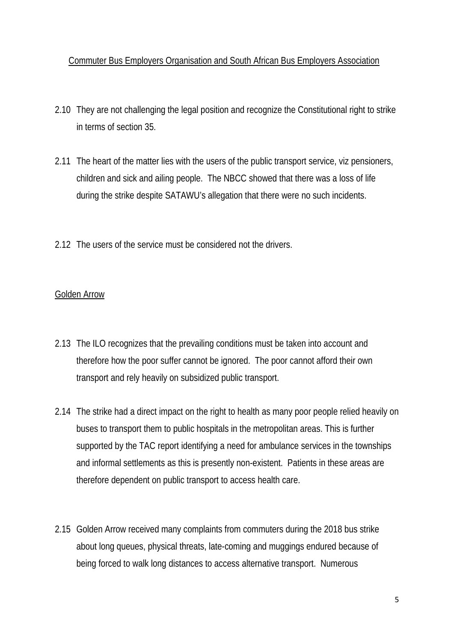## Commuter Bus Employers Organisation and South African Bus Employers Association

- 2.10 They are not challenging the legal position and recognize the Constitutional right to strike in terms of section 35.
- 2.11 The heart of the matter lies with the users of the public transport service, viz pensioners, children and sick and ailing people. The NBCC showed that there was a loss of life during the strike despite SATAWU's allegation that there were no such incidents.
- 2.12 The users of the service must be considered not the drivers.

# Golden Arrow

- 2.13 The ILO recognizes that the prevailing conditions must be taken into account and therefore how the poor suffer cannot be ignored. The poor cannot afford their own transport and rely heavily on subsidized public transport.
- 2.14 The strike had a direct impact on the right to health as many poor people relied heavily on buses to transport them to public hospitals in the metropolitan areas. This is further supported by the TAC report identifying a need for ambulance services in the townships and informal settlements as this is presently non-existent. Patients in these areas are therefore dependent on public transport to access health care.
- 2.15 Golden Arrow received many complaints from commuters during the 2018 bus strike about long queues, physical threats, late-coming and muggings endured because of being forced to walk long distances to access alternative transport. Numerous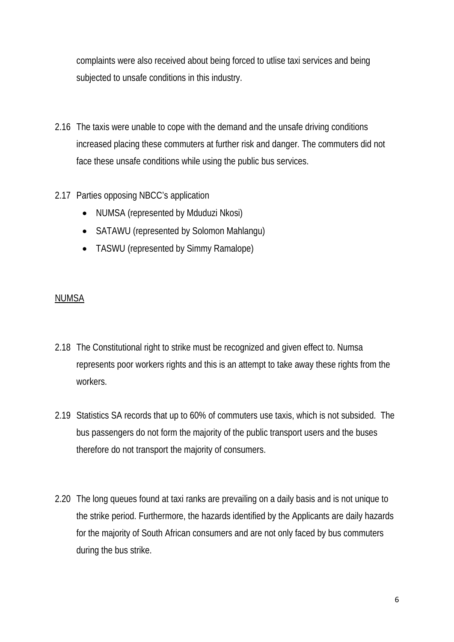complaints were also received about being forced to utlise taxi services and being subjected to unsafe conditions in this industry.

2.16 The taxis were unable to cope with the demand and the unsafe driving conditions increased placing these commuters at further risk and danger. The commuters did not face these unsafe conditions while using the public bus services.

## 2.17 Parties opposing NBCC's application

- NUMSA (represented by Mduduzi Nkosi)
- SATAWU (represented by Solomon Mahlangu)
- TASWU (represented by Simmy Ramalope)

## NUMSA

- 2.18 The Constitutional right to strike must be recognized and given effect to. Numsa represents poor workers rights and this is an attempt to take away these rights from the workers.
- 2.19 Statistics SA records that up to 60% of commuters use taxis, which is not subsided. The bus passengers do not form the majority of the public transport users and the buses therefore do not transport the majority of consumers.
- 2.20 The long queues found at taxi ranks are prevailing on a daily basis and is not unique to the strike period. Furthermore, the hazards identified by the Applicants are daily hazards for the majority of South African consumers and are not only faced by bus commuters during the bus strike.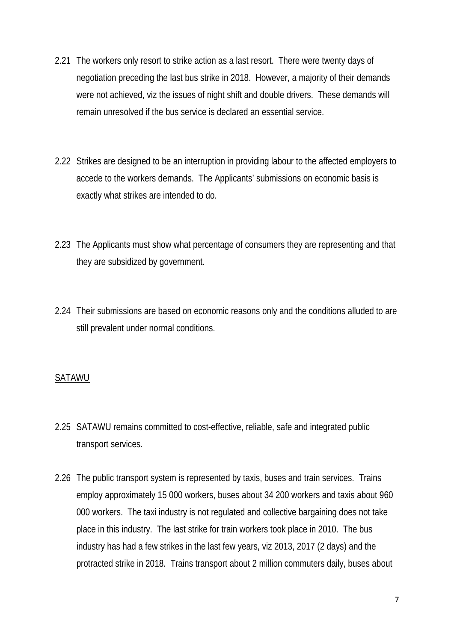- 2.21 The workers only resort to strike action as a last resort. There were twenty days of negotiation preceding the last bus strike in 2018. However, a majority of their demands were not achieved, viz the issues of night shift and double drivers. These demands will remain unresolved if the bus service is declared an essential service.
- 2.22 Strikes are designed to be an interruption in providing labour to the affected employers to accede to the workers demands. The Applicants' submissions on economic basis is exactly what strikes are intended to do.
- 2.23 The Applicants must show what percentage of consumers they are representing and that they are subsidized by government.
- 2.24 Their submissions are based on economic reasons only and the conditions alluded to are still prevalent under normal conditions.

# **SATAWU**

- 2.25 SATAWU remains committed to cost-effective, reliable, safe and integrated public transport services.
- 2.26 The public transport system is represented by taxis, buses and train services. Trains employ approximately 15 000 workers, buses about 34 200 workers and taxis about 960 000 workers. The taxi industry is not regulated and collective bargaining does not take place in this industry. The last strike for train workers took place in 2010. The bus industry has had a few strikes in the last few years, viz 2013, 2017 (2 days) and the protracted strike in 2018. Trains transport about 2 million commuters daily, buses about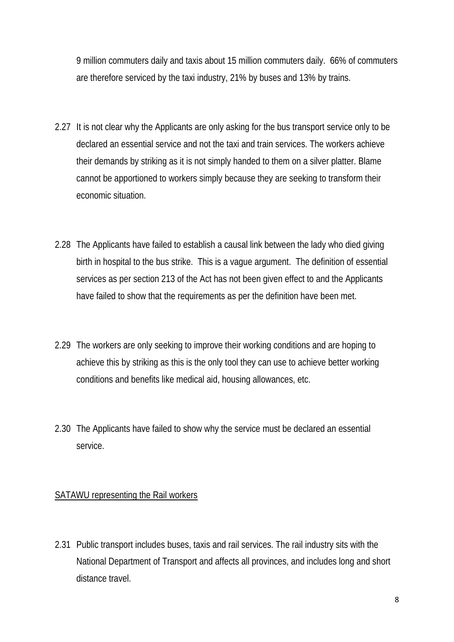9 million commuters daily and taxis about 15 million commuters daily. 66% of commuters are therefore serviced by the taxi industry, 21% by buses and 13% by trains.

- 2.27 It is not clear why the Applicants are only asking for the bus transport service only to be declared an essential service and not the taxi and train services. The workers achieve their demands by striking as it is not simply handed to them on a silver platter. Blame cannot be apportioned to workers simply because they are seeking to transform their economic situation.
- 2.28 The Applicants have failed to establish a causal link between the lady who died giving birth in hospital to the bus strike. This is a vague argument. The definition of essential services as per section 213 of the Act has not been given effect to and the Applicants have failed to show that the requirements as per the definition have been met.
- 2.29 The workers are only seeking to improve their working conditions and are hoping to achieve this by striking as this is the only tool they can use to achieve better working conditions and benefits like medical aid, housing allowances, etc.
- 2.30 The Applicants have failed to show why the service must be declared an essential service.

# SATAWU representing the Rail workers

2.31 Public transport includes buses, taxis and rail services. The rail industry sits with the National Department of Transport and affects all provinces, and includes long and short distance travel.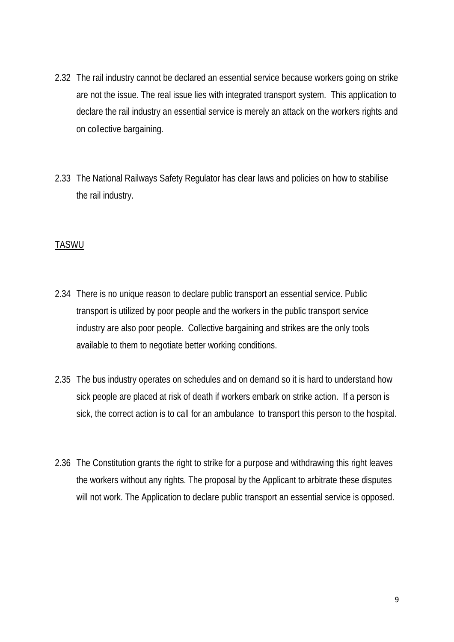- 2.32 The rail industry cannot be declared an essential service because workers going on strike are not the issue. The real issue lies with integrated transport system. This application to declare the rail industry an essential service is merely an attack on the workers rights and on collective bargaining.
- 2.33 The National Railways Safety Regulator has clear laws and policies on how to stabilise the rail industry.

# TASWU

- 2.34 There is no unique reason to declare public transport an essential service. Public transport is utilized by poor people and the workers in the public transport service industry are also poor people. Collective bargaining and strikes are the only tools available to them to negotiate better working conditions.
- 2.35 The bus industry operates on schedules and on demand so it is hard to understand how sick people are placed at risk of death if workers embark on strike action. If a person is sick, the correct action is to call for an ambulance to transport this person to the hospital.
- 2.36 The Constitution grants the right to strike for a purpose and withdrawing this right leaves the workers without any rights. The proposal by the Applicant to arbitrate these disputes will not work. The Application to declare public transport an essential service is opposed.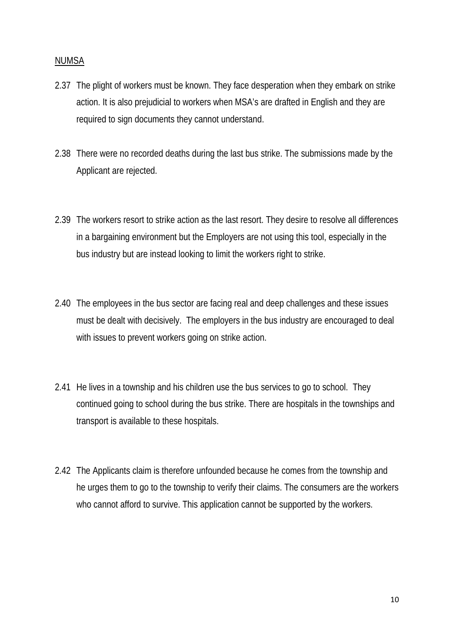### NUMSA

- 2.37 The plight of workers must be known. They face desperation when they embark on strike action. It is also prejudicial to workers when MSA's are drafted in English and they are required to sign documents they cannot understand.
- 2.38 There were no recorded deaths during the last bus strike. The submissions made by the Applicant are rejected.
- 2.39 The workers resort to strike action as the last resort. They desire to resolve all differences in a bargaining environment but the Employers are not using this tool, especially in the bus industry but are instead looking to limit the workers right to strike.
- 2.40 The employees in the bus sector are facing real and deep challenges and these issues must be dealt with decisively. The employers in the bus industry are encouraged to deal with issues to prevent workers going on strike action.
- 2.41 He lives in a township and his children use the bus services to go to school. They continued going to school during the bus strike. There are hospitals in the townships and transport is available to these hospitals.
- 2.42 The Applicants claim is therefore unfounded because he comes from the township and he urges them to go to the township to verify their claims. The consumers are the workers who cannot afford to survive. This application cannot be supported by the workers.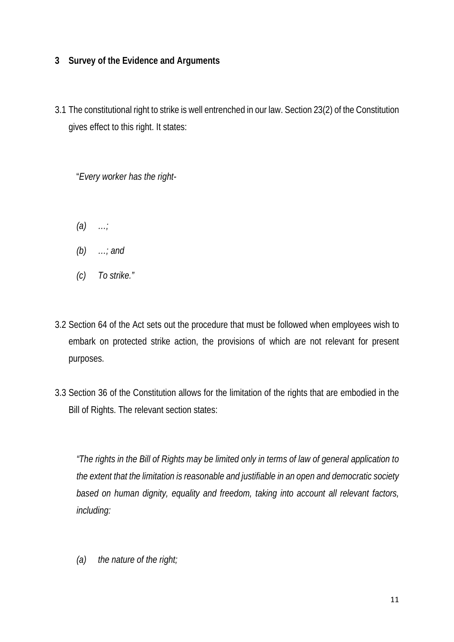# **3 Survey of the Evidence and Arguments**

3.1 The constitutional right to strike is well entrenched in our law. Section 23(2) of the Constitution gives effect to this right. It states:

"*Every worker has the right-*

- *(a) …;*
- *(b) …; and*
- *(c) To strike."*
- 3.2 Section 64 of the Act sets out the procedure that must be followed when employees wish to embark on protected strike action, the provisions of which are not relevant for present purposes.
- 3.3 Section 36 of the Constitution allows for the limitation of the rights that are embodied in the Bill of Rights. The relevant section states:

*"The rights in the Bill of Rights may be limited only in terms of law of general application to the extent that the limitation is reasonable and justifiable in an open and democratic society based on human dignity, equality and freedom, taking into account all relevant factors, including:*

*(a) the nature of the right;*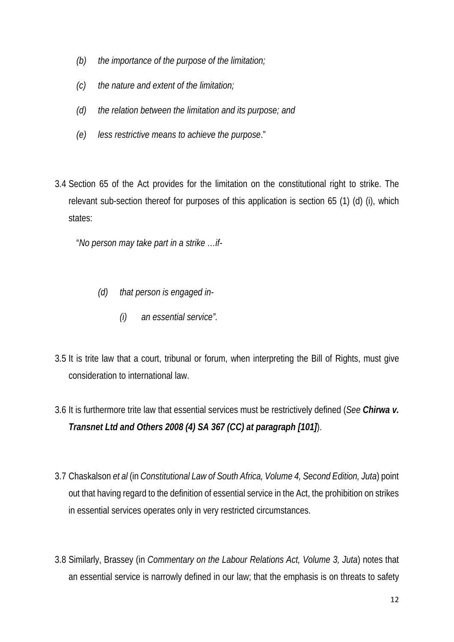- *(b) the importance of the purpose of the limitation;*
- *(c) the nature and extent of the limitation;*
- *(d) the relation between the limitation and its purpose; and*
- *(e) less restrictive means to achieve the purpose*."
- 3.4 Section 65 of the Act provides for the limitation on the constitutional right to strike. The relevant sub-section thereof for purposes of this application is section 65 (1) (d) (i), which states:

"*No person may take part in a strike …if-*

- *(d) that person is engaged in-*
	- *(i) an essential service".*
- 3.5 It is trite law that a court, tribunal or forum, when interpreting the Bill of Rights, must give consideration to international law.
- 3.6 It is furthermore trite law that essential services must be restrictively defined (*See Chirwa v. Transnet Ltd and Others 2008 (4) SA 367 (CC) at paragraph [101]*).
- 3.7 Chaskalson *et al* (in *Constitutional Law of South Africa, Volume 4, Second Edition, Juta*) point out that having regard to the definition of essential service in the Act, the prohibition on strikes in essential services operates only in very restricted circumstances.
- 3.8 Similarly, Brassey (in *Commentary on the Labour Relations Act, Volume 3, Juta*) notes that an essential service is narrowly defined in our law; that the emphasis is on threats to safety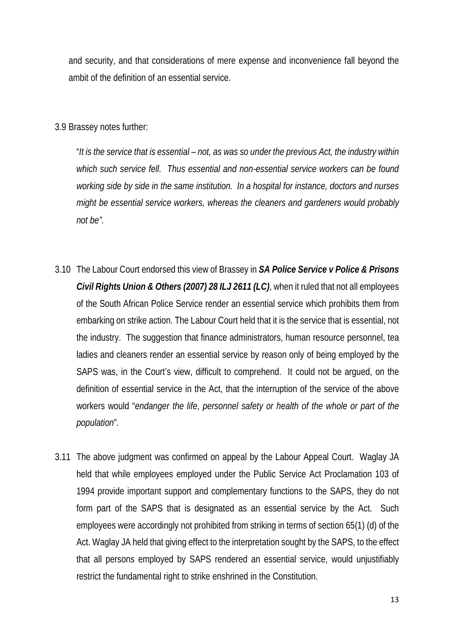and security, and that considerations of mere expense and inconvenience fall beyond the ambit of the definition of an essential service.

3.9 Brassey notes further:

"*It is the service that is essential – not, as was so under the previous Act, the industry within which such service fell. Thus essential and non-essential service workers can be found working side by side in the same institution. In a hospital for instance, doctors and nurses might be essential service workers, whereas the cleaners and gardeners would probably not be".*

- 3.10 The Labour Court endorsed this view of Brassey in *SA Police Service v Police & Prisons Civil Rights Union & Others (2007) 28 ILJ 2611 (LC)*, when it ruled that not all employees of the South African Police Service render an essential service which prohibits them from embarking on strike action. The Labour Court held that it is the service that is essential, not the industry. The suggestion that finance administrators, human resource personnel, tea ladies and cleaners render an essential service by reason only of being employed by the SAPS was, in the Court's view, difficult to comprehend. It could not be argued, on the definition of essential service in the Act, that the interruption of the service of the above workers would "*endanger the life*, *personnel safety or health of the whole or part of the population*".
- 3.11 The above judgment was confirmed on appeal by the Labour Appeal Court. Waglay JA held that while employees employed under the Public Service Act Proclamation 103 of 1994 provide important support and complementary functions to the SAPS, they do not form part of the SAPS that is designated as an essential service by the Act. Such employees were accordingly not prohibited from striking in terms of section 65(1) (d) of the Act. Waglay JA held that giving effect to the interpretation sought by the SAPS, to the effect that all persons employed by SAPS rendered an essential service, would unjustifiably restrict the fundamental right to strike enshrined in the Constitution.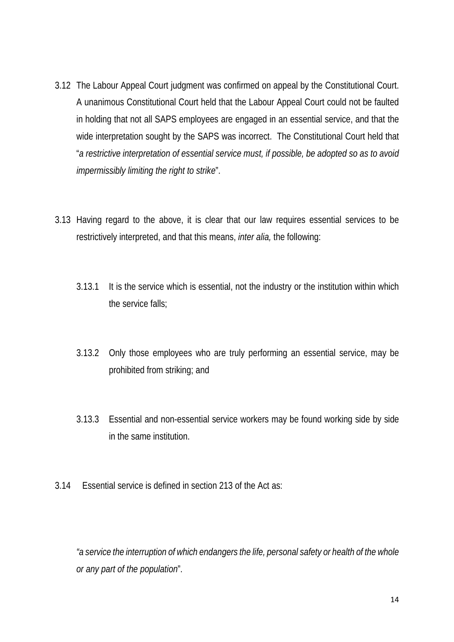- 3.12 The Labour Appeal Court judgment was confirmed on appeal by the Constitutional Court. A unanimous Constitutional Court held that the Labour Appeal Court could not be faulted in holding that not all SAPS employees are engaged in an essential service, and that the wide interpretation sought by the SAPS was incorrect. The Constitutional Court held that "*a restrictive interpretation of essential service must, if possible, be adopted so as to avoid impermissibly limiting the right to strike*".
- 3.13 Having regard to the above, it is clear that our law requires essential services to be restrictively interpreted, and that this means, *inter alia,* the following:
	- 3.13.1 It is the service which is essential, not the industry or the institution within which the service falls;
	- 3.13.2 Only those employees who are truly performing an essential service, may be prohibited from striking; and
	- 3.13.3 Essential and non-essential service workers may be found working side by side in the same institution.
- 3.14 Essential service is defined in section 213 of the Act as:

*"a service the interruption of which endangers the life, personal safety or health of the whole or any part of the population*".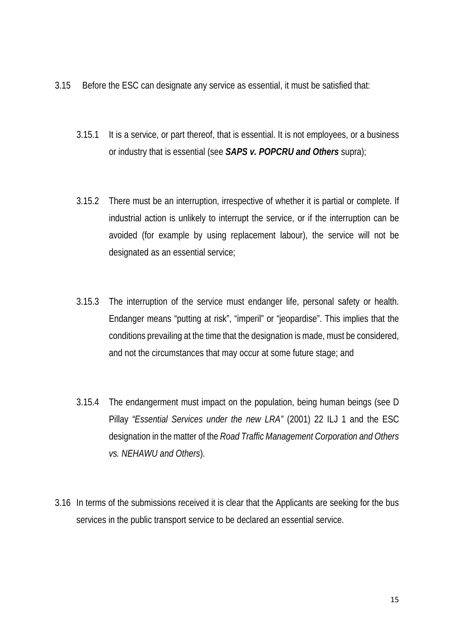- 3.15 Before the ESC can designate any service as essential, it must be satisfied that:
	- 3.15.1 It is a service, or part thereof, that is essential. It is not employees, or a business or industry that is essential (see *SAPS v. POPCRU and Others* supra);
	- 3.15.2 There must be an interruption, irrespective of whether it is partial or complete. If industrial action is unlikely to interrupt the service, or if the interruption can be avoided (for example by using replacement labour), the service will not be designated as an essential service;
	- 3.15.3 The interruption of the service must endanger life, personal safety or health. Endanger means "putting at risk", "imperil" or "jeopardise". This implies that the conditions prevailing at the time that the designation is made, must be considered, and not the circumstances that may occur at some future stage; and
	- 3.15.4 The endangerment must impact on the population, being human beings (see D Pillay *"Essential Services under the new LRA"* (2001) 22 ILJ 1 and the ESC designation in the matter of the *Road Traffic Management Corporation and Others vs. NEHAWU and Others*).
- 3.16 In terms of the submissions received it is clear that the Applicants are seeking for the bus services in the public transport service to be declared an essential service.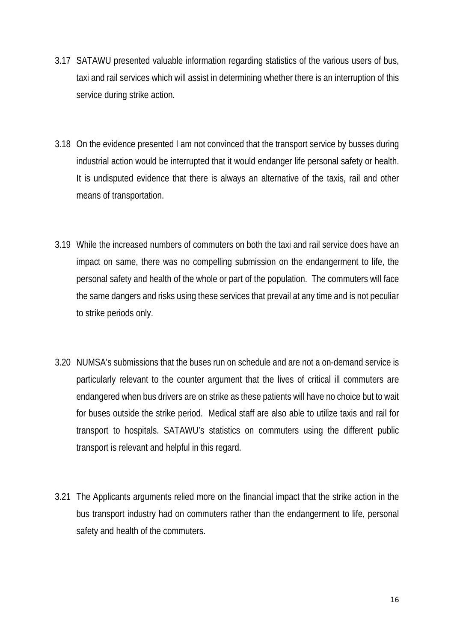- 3.17 SATAWU presented valuable information regarding statistics of the various users of bus, taxi and rail services which will assist in determining whether there is an interruption of this service during strike action.
- 3.18 On the evidence presented I am not convinced that the transport service by busses during industrial action would be interrupted that it would endanger life personal safety or health. It is undisputed evidence that there is always an alternative of the taxis, rail and other means of transportation.
- 3.19 While the increased numbers of commuters on both the taxi and rail service does have an impact on same, there was no compelling submission on the endangerment to life, the personal safety and health of the whole or part of the population. The commuters will face the same dangers and risks using these services that prevail at any time and is not peculiar to strike periods only.
- 3.20 NUMSA's submissions that the buses run on schedule and are not a on-demand service is particularly relevant to the counter argument that the lives of critical ill commuters are endangered when bus drivers are on strike as these patients will have no choice but to wait for buses outside the strike period. Medical staff are also able to utilize taxis and rail for transport to hospitals. SATAWU's statistics on commuters using the different public transport is relevant and helpful in this regard.
- 3.21 The Applicants arguments relied more on the financial impact that the strike action in the bus transport industry had on commuters rather than the endangerment to life, personal safety and health of the commuters.